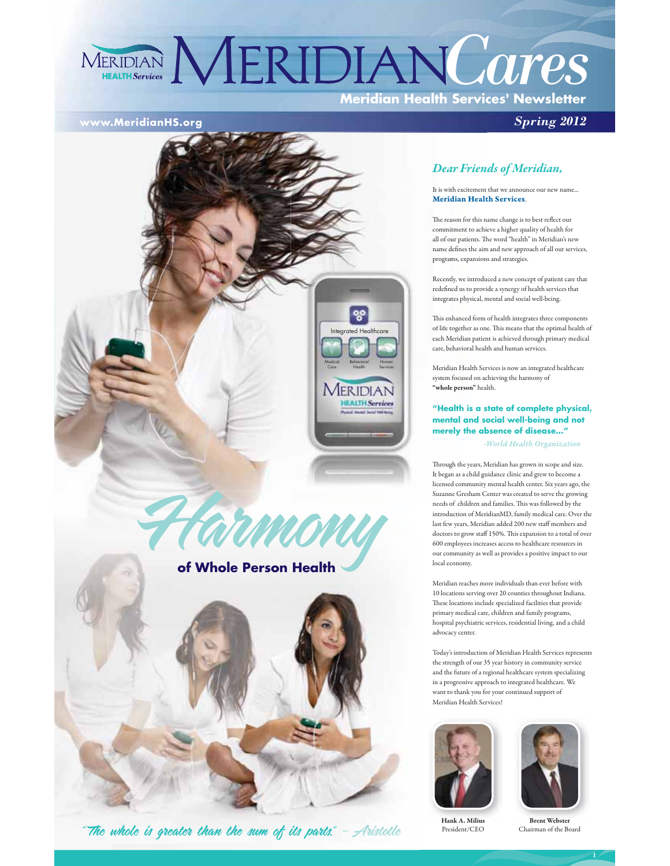# **Meridian Health Services' Newsletter MERIDIAN MERIDIAN Cares**

#### **www.MeridianHS.org**



armonu



"The whole is greater than the sum of its parts."  $-$  Aristotle

#### *Dear Friends of Meridian, Dea*

It is with excitement that we announce our new name... **Meridian Health Services**. **Merid**

*Spring 2012*

The reason for this name change is to best reflect our commitment to achieve a higher quality of health for commi all of our patients. The word "health" in Meridian's new name defines the aim and new approach of all our services, name d programs, expansions and strategies. program

Recently, we introduced a new concept of patient care that Recent redefined us to provide a synergy of health services that integrates physical, mental and social well-being. integra

This enhanced form of health integrates three components en of life together as one. This means that the optimal health of t each Meridian patient is achieved through primary medical each M care, behavioral health and human services. be

Meridian Health Services is now an integrated healthcare Meridi system focused on achieving the harmony of system **"whole person"** health. **"whole**

#### **"Health is a state of complete physical, "Hea mental and social well-being and not ment merely the absence of disease…" mere**

 *-World Health Organization*

Through the years, Meridian has grown in scope and size. Throug It began as a child guidance clinic and grew to become a began licensed community mental health center. Six years ago, the licensed Suzanne Gresham Center was created to serve the growing needs of children and families. This was followed by the introduction of MeridianMD, family medical care. Over the last few years, Meridian added 200 new staff members and doctors to grow staff 150%. This expansion to a total of over 600 employees increases access to healthcare resources in our community as well as provides a positive impact to our local economy.

Meridian reaches more individuals than ever before with 10 locations serving over 20 counties throughout Indiana. These locations include specialized facilities that provide primary medical care, children and family programs, hospital psychiatric services, residential living, and a child advocacy center.

Today's introduction of Meridian Health Services represents the strength of our 35 year history in community service and the future of a regional healthcare system specializing in a progressive approach to integrated healthcare. We want to thank you for your continued support of Meridian Health Services!





President/CEO

**Brent Webster** Chairman of the Board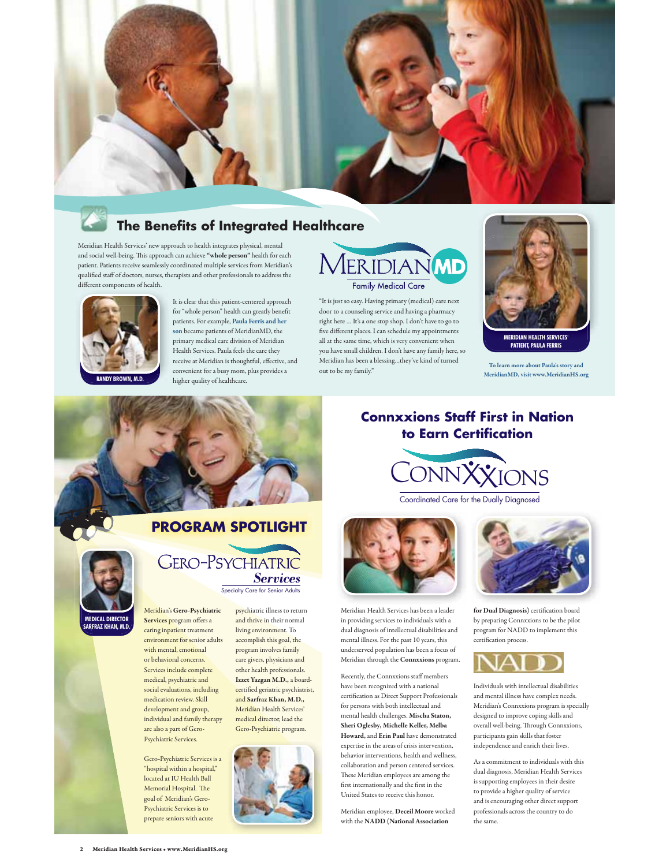

### **The Benefits of Integrated Healthcare**

Meridian Health Services' new approach to health integrates physical, mental and social well-being. This approach can achieve **"whole person"** health for each patient. Patients receive seamlessly coordinated multiple services from Meridian's qualified staff of doctors, nurses, therapists and other professionals to address the different components of health. p



It is clear that this patient-centered approach for "whole person" health can greatly benefit patients. For example, **Paula Ferris and her son** became patients of MeridianMD, the primary medical care division of Meridian -<br>Health Services. Paula feels the care they receive at Meridian is thoughtful, effective, and convenient for a busy mom, plus provides a higher quality of healthcare.



"It is just so easy. Having primary (medical) care next door to a counseling service and having a pharmacy right here … It's a one stop shop. I don't have to go to five different places. I can schedule my appointments all at the same time, which is very convenient when you have small children. I don't have any family here, so Meridian has been a blessing...they've kind of turned out to be my family."



**PATIENT, PAULA FERRIS**

**To learn more about Paula's story and MeridianMD, visit www.MeridianHS.org**





Coordinated Care for the Dually Diagnosed



Meridian Health Services has been a leader in providing services to individuals with a dual diagnosis of intellectual disabilities and mental illness. For the past 10 years, this underserved population has been a focus of Meridian through the **Connxxions** program.

Recently, the Connxxions staff members have been recognized with a national certification as Direct Support Professionals for persons with both intellectual and mental health challenges. **Mischa Staton, Sheri Oglesby, Michelle Keller, Melba Howard,** and **Erin Paul** have demonstrated expertise in the areas of crisis intervention, behavior interventions, health and wellness, collaboration and person centered services. These Meridian employees are among the first internationally and the first in the United States to receive this honor.

Meridian employee, Deceil Moore worked with the **NADD (National Association** 



**for Dual Diagnosis)** certification board by preparing Connxxions to be the pilot program for NADD to implement this certification process.



Individuals with intellectual disabilities and mental illness have complex needs. Meridian's Connxxions program is specially designed to improve coping skills and overall well-being. Through Connxxions, participants gain skills that foster independence and enrich their lives.

As a commitment to individuals with this dual diagnosis, Meridian Health Services is supporting employees in their desire to provide a higher quality of service and is encouraging other direct support professionals across the country to do the same.

### **PROGRAM SPOTLIGHT**



**GERO-PSYCHIATRIC** Specialty Care for Senior Adults

psychiatric illness to return and thrive in their normal

Meridian's **Gero-Psychiatric Services** program offers a caring inpatient treatment environment for senior adults with mental, emotional or behavioral concerns. Services include complete medical, psychiatric and social evaluations, including medication review. Skill development and group, individual and family therapy are also a part of Gero-Psychiatric Services.

Gero-Psychiatric Services is a "hospital within a hospital," located at IU Health Ball Memorial Hospital. The goal of Meridian's Gero-Psychiatric Services is to prepare seniors with acute

#### living environment. To accomplish this goal, the program involves family care givers, physicians and other health professionals. **Izzet Yazgan M.D.,** a boardcertified geriatric psychiatrist, and **Sarfraz Khan, M.D.,** Meridian Health Services' medical director, lead the

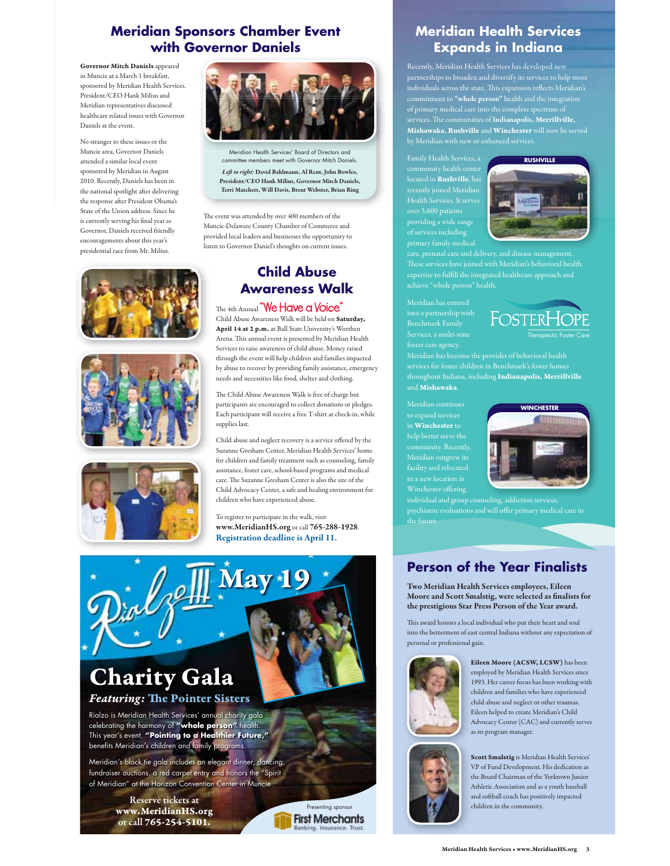### **Meridian Sponsors Chamber Event** with Governor Daniels

Governor Mitch Daniels appeared in Muncie at a March 1 breakfast. sponsored by Meridian Health Services. President/CEO Hank Milius and Meridian representatives discussed healthcare related issues with Governor Daniels at the event.

No stranger to these issues or the Muncie area, Governor Daniels attended a similar local event sponsored by Meridian in August 2010. Recently, Daniels has been in the national spotlight after delivering the response after President Obama's State of the Union address. Since he is currently serving his final year as Governor. Daniels received friendly encouragements about this year's presidential race from Mr. Milius.









Meridian Health Services' Board of Directors and ittee members meet with Governor Mitch Daniels Left to right: David Bahlmann, Al Rent, John Bowles, President/CEO Hank Milius. Governor Mitch Daniels. **Terri Matchett Will Davis Brent Webster Brian Ring** 

The event was attended by over 400 members of the Muncie-Delaware County Chamber of Commerce and provided local leaders and businesses the opportunity to listen to Governor Daniel's thoughts on current issues.

## **Child Abuse Awareness Walk**

The 4th Annual "We Have a Voice Child Abuse Awareness Walk will be held on Saturday, April 14 at 2 p.m. at Ball State University's Worthen Arena. This annual event is presented by Meridian Health Services to raise awareness of child abuse. Money raised through the event will help children and families impacted by abuse to recover by providing family assistance, emergency needs and necessities like food, shelter and clothing.

The Child Abuse Awareness Walk is free of charge but participants are encouraged to collect donations or pledges. Each participant will receive a free T-shirt at check-in, while supplies last.

Child abuse and neglect recovery is a service offered by the Suzanne Gresham Center, Meridian Health Services' home for children and family treatment such as counseling, family assistance, foster care, school-based programs and medical care. The Suzanne Gresham Center is also the site of the Child Advocacy Center, a safe and healing environment for children who have experienced abuse.

To register to participate in the walk, visit www.MeridianHS.org or call 765-288-1928. Registration deadline is April 11.



Rialzo is Meridian Health Services' annual charity gala celebrating the harmony of "whole person" health.<br>This year's event, "Pointing to a Healthier Future," benefits Meridian's children and family programs.

Meridian's black tie gala includes an elegant dinner, dancing, fundraiser auctions, a red carpet entry and honors the "Spirit of Meridian" at the Horizon Convention Center in Muncie.

> Reserve tickets at www.MeridianHS.org or call 765-254-5101.



### **Meridian Health Services Expands in Indiana**

Recently, Meridian Health Services has developed new partnerships to broaden and diversify its services to help more<br>individuals across the state. This expansion reflects Meridian's<br>commitment to "whole person" health and the integration<br>of primary medical care into the comp Mishawaka, Rushville and Winchester will now be served

community health center<br>located in **Rushville**, has recently joined Meridian Health Services. It serves



Benchmark Famil Services, a multi-state



Meridian has become the provider of behavioral health throughout Indiana, including Indianapolis, Merrillville and **Mishawaka**.

to expand services in Winchester to facility and relocated Winchester offering



individual and group counseling, addiction services the future.

## **Person of the Year Finalists**

Two Meridian Health Services employees, Eileen Moore and Scott Smalstig, were selected as finalists for the prestigious Star Press Person of the Year award.

This award honors a local individual who put their heart and soul into the betterment of east central Indiana without any expectation of personal or professional gain.



Eileen Moore (ACSW, LCSW) has been employed by Meridian Health Services since 1993. Her career focus has been working with children and families who have experienced child abuse and neglect or other traumas. Eileen helped to create Meridian's Child Advocacy Center (CAC) and currently serves as its program manager.

Scott Smalstig is Meridian Health Services'

VP of Fund Development. His dedication as the Board Chairman of the Yorktown Junior Athletic Association and as a youth baseball and softball coach has positively impacted children in the community.